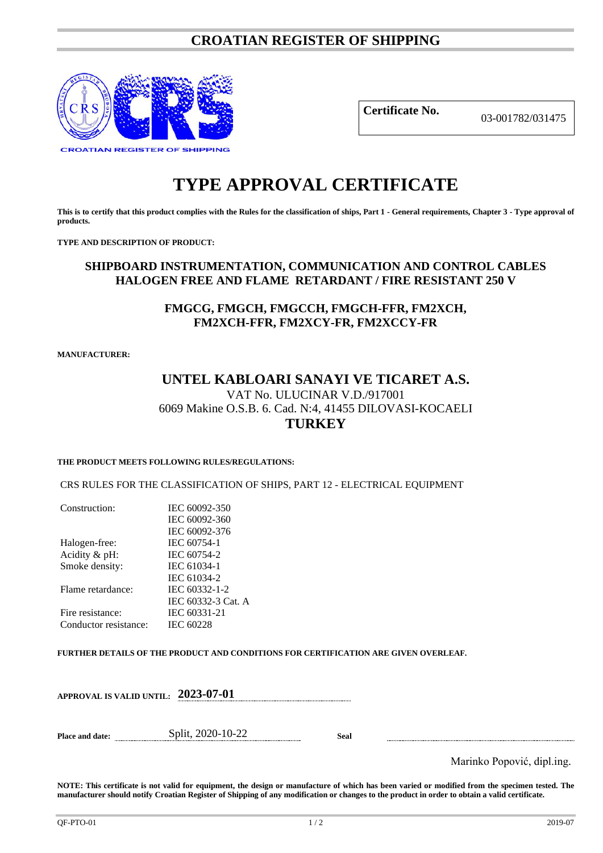## **CROATIAN REGISTER OF SHIPPING**



**Certificate No.** 03-001782/031475

# **TYPE APPROVAL CERTIFICATE**

**This is to certify that this product complies with the Rules for the classification of ships, Part 1 - General requirements, Chapter 3 - Type approval of products.**

**TYPE AND DESCRIPTION OF PRODUCT:** 

## **SHIPBOARD INSTRUMENTATION, COMMUNICATION AND CONTROL CABLES HALOGEN FREE AND FLAME RETARDANT / FIRE RESISTANT 250 V**

## **FMGCG, FMGCH, FMGCCH, FMGCH-FFR, FM2XCH, FM2XCH-FFR, FM2XCY-FR, FM2XCCY-FR**

**MANUFACTURER:**

### **UNTEL KABLOARI SANAYI VE TICARET A.S.** VAT No. ULUCINAR V.D./917001 6069 Makine O.S.B. 6. Cad. N:4, 41455 DILOVASI-KOCAELI **TURKEY**

#### **THE PRODUCT MEETS FOLLOWING RULES/REGULATIONS:**

CRS RULES FOR THE CLASSIFICATION OF SHIPS, PART 12 - ELECTRICAL EQUIPMENT

| Construction:         | IEC 60092-350      |  |
|-----------------------|--------------------|--|
|                       | IEC 60092-360      |  |
|                       | IEC 60092-376      |  |
| Halogen-free:         | IEC 60754-1        |  |
| Acidity & pH:         | IEC 60754-2        |  |
| Smoke density:        | IEC 61034-1        |  |
|                       | IEC 61034-2        |  |
| Flame retardance:     | IEC 60332-1-2      |  |
|                       | IEC 60332-3 Cat. A |  |
| Fire resistance:      | IEC 60331-21       |  |
| Conductor resistance: | <b>IEC 60228</b>   |  |
|                       |                    |  |

**FURTHER DETAILS OF THE PRODUCT AND CONDITIONS FOR CERTIFICATION ARE GIVEN OVERLEAF.**

|  | APPROVAL IS VALID UNTIL: 2023-07-01 |  |
|--|-------------------------------------|--|
|--|-------------------------------------|--|

**Place and date:** Split, 2020-10-22 **Seal**

Marinko Popović, dipl.ing.

**NOTE: This certificate is not valid for equipment, the design or manufacture of which has been varied or modified from the specimen tested. The manufacturer should notify Croatian Register of Shipping of any modification or changes to the product in order to obtain a valid certificate.**